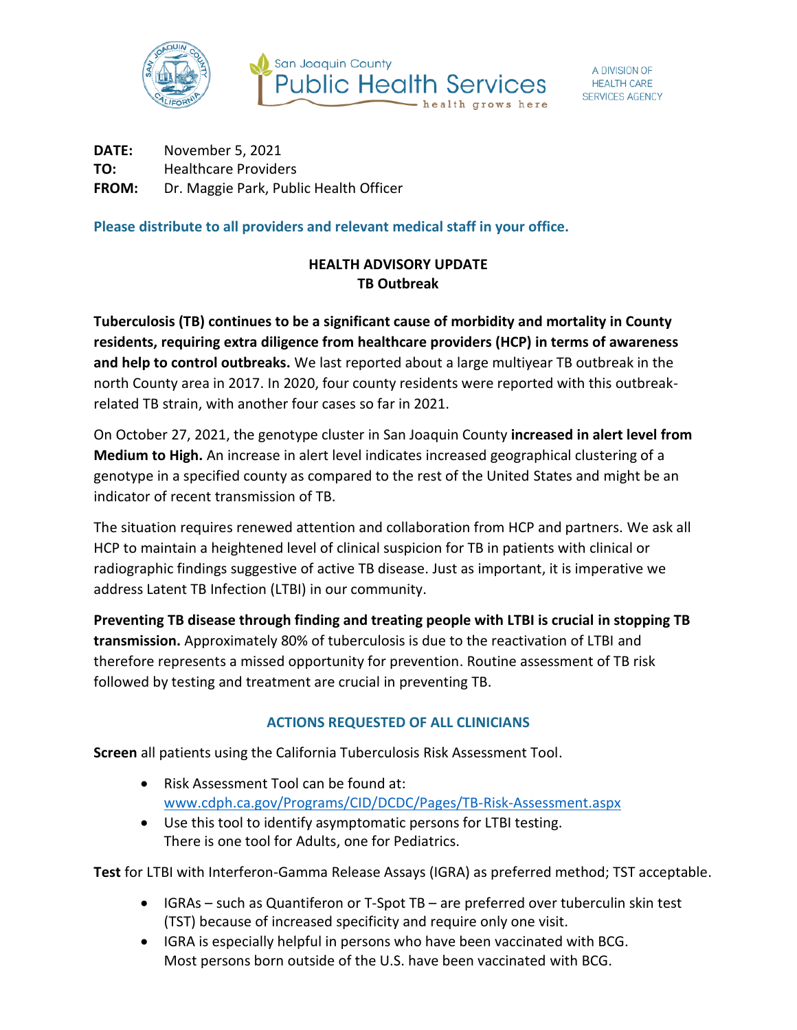



**DATE:** November 5, 2021 **TO:** Healthcare Providers **FROM:** Dr. Maggie Park, Public Health Officer

**Please distribute to all providers and relevant medical staff in your office.**

## **HEALTH ADVISORY UPDATE TB Outbreak**

**Tuberculosis (TB) continues to be a significant cause of morbidity and mortality in County residents, requiring extra diligence from healthcare providers (HCP) in terms of awareness and help to control outbreaks.** We last reported about a large multiyear TB outbreak in the north County area in 2017. In 2020, four county residents were reported with this outbreakrelated TB strain, with another four cases so far in 2021.

On October 27, 2021, the genotype cluster in San Joaquin County **increased in alert level from Medium to High.** An increase in alert level indicates increased geographical clustering of a genotype in a specified county as compared to the rest of the United States and might be an indicator of recent transmission of TB.

The situation requires renewed attention and collaboration from HCP and partners. We ask all HCP to maintain a heightened level of clinical suspicion for TB in patients with clinical or radiographic findings suggestive of active TB disease. Just as important, it is imperative we address Latent TB Infection (LTBI) in our community.

**Preventing TB disease through finding and treating people with LTBI is crucial in stopping TB transmission.** Approximately 80% of tuberculosis is due to the reactivation of LTBI and therefore represents a missed opportunity for prevention. Routine assessment of TB risk followed by testing and treatment are crucial in preventing TB.

## **ACTIONS REQUESTED OF ALL CLINICIANS**

**Screen** all patients using the California Tuberculosis Risk Assessment Tool.

- Risk Assessment Tool can be found at: [www.cdph.ca.gov/Programs/CID/DCDC/Pages/TB-Risk-Assessment.aspx](http://www.cdph.ca.gov/Programs/CID/DCDC/Pages/TB-Risk-Assessment.aspx)
- Use this tool to identify asymptomatic persons for LTBI testing. There is one tool for Adults, one for Pediatrics.

**Test** for LTBI with Interferon-Gamma Release Assays (IGRA) as preferred method; TST acceptable.

- IGRAs such as Quantiferon or T-Spot TB are preferred over tuberculin skin test (TST) because of increased specificity and require only one visit.
- IGRA is especially helpful in persons who have been vaccinated with BCG. Most persons born outside of the U.S. have been vaccinated with BCG.